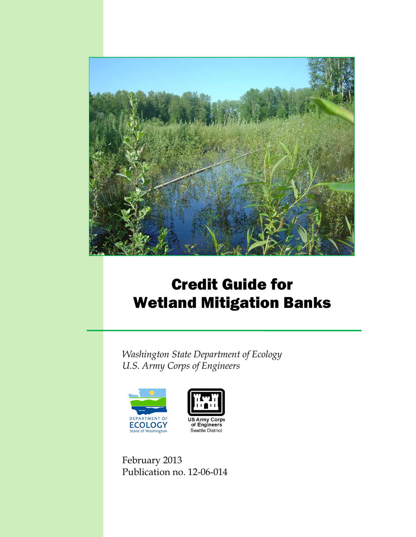

# Credit Guide for Wetland Mitigation Banks

*Washington State Department of Ecology U.S. Army Corps of Engineers*





February 2013 Publication no. 12-06-014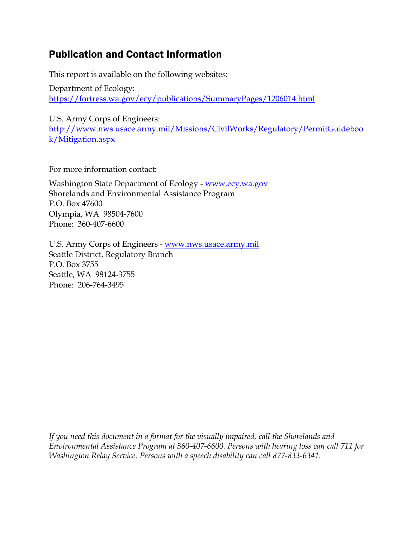### Publication and Contact Information

This report is available on the following websites:

Department of Ecology: <https://fortress.wa.gov/ecy/publications/SummaryPages/1206014.html>

U.S. Army Corps of Engineers:

[http://www.nws.usace.army.mil/Missions/CivilWorks/Regulatory/PermitGuideboo](http://www.nws.usace.army.mil/Missions/CivilWorks/Regulatory/PermitGuidebook/Mitigation.aspx) [k/Mitigation.aspx](http://www.nws.usace.army.mil/Missions/CivilWorks/Regulatory/PermitGuidebook/Mitigation.aspx)

For more information contact:

Washington State Department of Ecology - [www.ecy.wa.gov](http://www.ecy.wa.gov/) Shorelands and Environmental Assistance Program P.O. Box 47600 Olympia, WA 98504-7600 Phone: 360-407-6600

U.S. Army Corps of Engineers - [www.nws.usace.army.mil](http://www.nws.usace.army.mil/) Seattle District, Regulatory Branch P.O. Box 3755 Seattle, WA 98124-3755 Phone: 206-764-3495

*If you need this document in a format for the visually impaired, call the Shorelands and Environmental Assistance Program at 360-407-6600. Persons with hearing loss can call 711 for Washington Relay Service. Persons with a speech disability can call 877-833-6341.*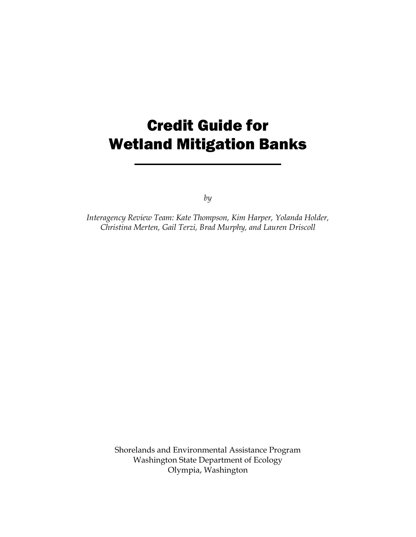# Credit Guide for Wetland Mitigation Banks

*by*

*Interagency Review Team: Kate Thompson, Kim Harper, Yolanda Holder, Christina Merten, Gail Terzi, Brad Murphy, and Lauren Driscoll*

> Shorelands and Environmental Assistance Program Washington State Department of Ecology Olympia, Washington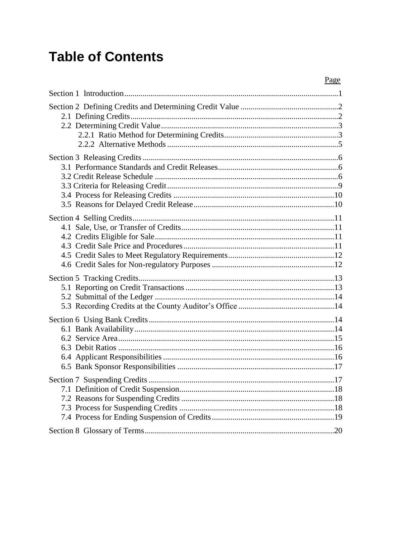# **Table of Contents**

| Page |
|------|
|      |
|      |
|      |
|      |
|      |
|      |
| .17  |
|      |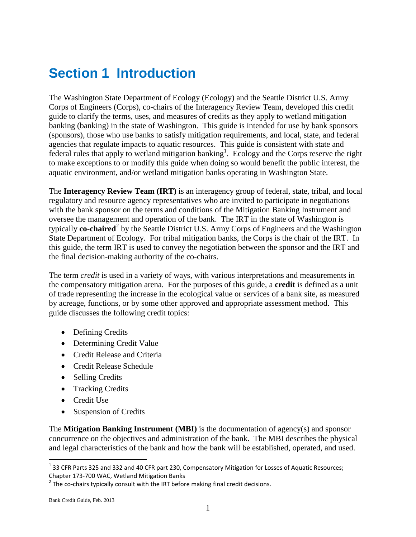## <span id="page-4-0"></span>**Section 1 Introduction**

The Washington State Department of Ecology (Ecology) and the Seattle District U.S. Army Corps of Engineers (Corps), co-chairs of the Interagency Review Team, developed this credit guide to clarify the terms, uses, and measures of credits as they apply to wetland mitigation banking (banking) in the state of Washington. This guide is intended for use by bank sponsors (sponsors), those who use banks to satisfy mitigation requirements, and local, state, and federal agencies that regulate impacts to aquatic resources. This guide is consistent with state and federal rules that apply to wetland mitigation banking<sup>1</sup>. Ecology and the Corps reserve the right to make exceptions to or modify this guide when doing so would benefit the public interest, the aquatic environment, and/or wetland mitigation banks operating in Washington State.

The **Interagency Review Team (IRT)** is an interagency group of federal, state, tribal, and local regulatory and resource agency representatives who are invited to participate in negotiations with the bank sponsor on the terms and conditions of the Mitigation Banking Instrument and oversee the management and operation of the bank. The IRT in the state of Washington is typically **co-chaired**<sup>2</sup> by the Seattle District U.S. Army Corps of Engineers and the Washington State Department of Ecology. For tribal mitigation banks, the Corps is the chair of the IRT. In this guide, the term IRT is used to convey the negotiation between the sponsor and the IRT and the final decision-making authority of the co-chairs.

The term *credit* is used in a variety of ways, with various interpretations and measurements in the compensatory mitigation arena. For the purposes of this guide, a **credit** is defined as a unit of trade representing the increase in the ecological value or services of a bank site, as measured by acreage, functions, or by some other approved and appropriate assessment method. This guide discusses the following credit topics:

- Defining Credits
- Determining Credit Value
- Credit Release and Criteria
- Credit Release Schedule
- Selling Credits
- Tracking Credits
- Credit Use
- Suspension of Credits

The **Mitigation Banking Instrument (MBI)** is the documentation of agency(s) and sponsor concurrence on the objectives and administration of the bank. The MBI describes the physical and legal characteristics of the bank and how the bank will be established, operated, and used.

 $^1$  33 CFR Parts 325 and 332 and 40 CFR part 230, Compensatory Mitigation for Losses of Aquatic Resources; Chapter 173-700 WAC, Wetland Mitigation Banks

 $^{2}$  The co-chairs typically consult with the IRT before making final credit decisions.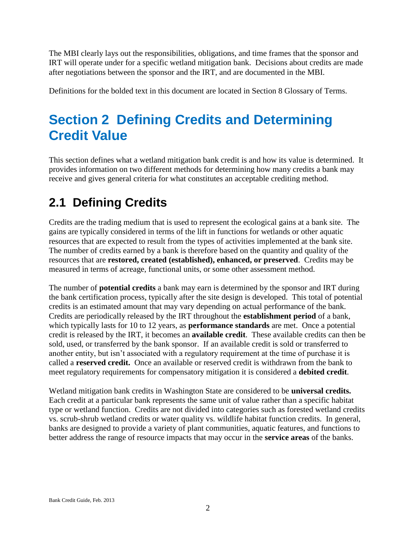The MBI clearly lays out the responsibilities, obligations, and time frames that the sponsor and IRT will operate under for a specific wetland mitigation bank. Decisions about credits are made after negotiations between the sponsor and the IRT, and are documented in the MBI.

<span id="page-5-0"></span>Definitions for the bolded text in this document are located in Section 8 Glossary of Terms.

# **Section 2 Defining Credits and Determining Credit Value**

This section defines what a wetland mitigation bank credit is and how its value is determined. It provides information on two different methods for determining how many credits a bank may receive and gives general criteria for what constitutes an acceptable crediting method.

## <span id="page-5-1"></span>**2.1 Defining Credits**

Credits are the trading medium that is used to represent the ecological gains at a bank site. The gains are typically considered in terms of the lift in functions for wetlands or other aquatic resources that are expected to result from the types of activities implemented at the bank site. The number of credits earned by a bank is therefore based on the quantity and quality of the resources that are **restored, created (established), enhanced, or preserved**. Credits may be measured in terms of acreage, functional units, or some other assessment method.

The number of **potential credits** a bank may earn is determined by the sponsor and IRT during the bank certification process, typically after the site design is developed. This total of potential credits is an estimated amount that may vary depending on actual performance of the bank. Credits are periodically released by the IRT throughout the **establishment period** of a bank, which typically lasts for 10 to 12 years, as **performance standards** are met. Once a potential credit is released by the IRT, it becomes an **available credit**. These available credits can then be sold, used, or transferred by the bank sponsor. If an available credit is sold or transferred to another entity, but isn't associated with a regulatory requirement at the time of purchase it is called a **reserved credit.** Once an available or reserved credit is withdrawn from the bank to meet regulatory requirements for compensatory mitigation it is considered a **debited credit**.

Wetland mitigation bank credits in Washington State are considered to be **universal credits.** Each credit at a particular bank represents the same unit of value rather than a specific habitat type or wetland function. Credits are not divided into categories such as forested wetland credits vs. scrub-shrub wetland credits or water quality vs. wildlife habitat function credits. In general, banks are designed to provide a variety of plant communities, aquatic features, and functions to better address the range of resource impacts that may occur in the **service areas** of the banks.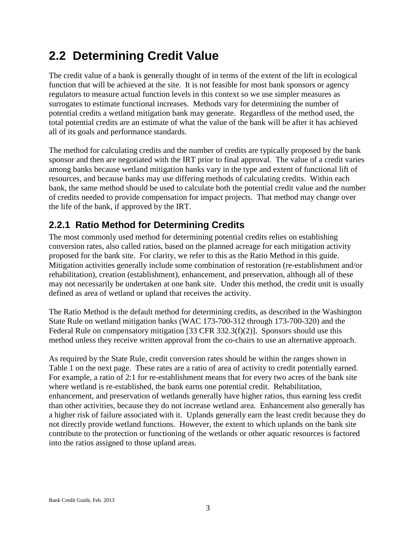### <span id="page-6-0"></span>**2.2 Determining Credit Value**

The credit value of a bank is generally thought of in terms of the extent of the lift in ecological function that will be achieved at the site. It is not feasible for most bank sponsors or agency regulators to measure actual function levels in this context so we use simpler measures as surrogates to estimate functional increases. Methods vary for determining the number of potential credits a wetland mitigation bank may generate. Regardless of the method used, the total potential credits are an estimate of what the value of the bank will be after it has achieved all of its goals and performance standards.

The method for calculating credits and the number of credits are typically proposed by the bank sponsor and then are negotiated with the IRT prior to final approval. The value of a credit varies among banks because wetland mitigation banks vary in the type and extent of functional lift of resources, and because banks may use differing methods of calculating credits. Within each bank, the same method should be used to calculate both the potential credit value and the number of credits needed to provide compensation for impact projects. That method may change over the life of the bank, if approved by the IRT.

#### <span id="page-6-1"></span>**2.2.1 Ratio Method for Determining Credits**

The most commonly used method for determining potential credits relies on establishing conversion rates, also called ratios, based on the planned acreage for each mitigation activity proposed for the bank site. For clarity, we refer to this as the Ratio Method in this guide. Mitigation activities generally include some combination of restoration (re-establishment and/or rehabilitation), creation (establishment), enhancement, and preservation, although all of these may not necessarily be undertaken at one bank site. Under this method, the credit unit is usually defined as area of wetland or upland that receives the activity.

The Ratio Method is the default method for determining credits, as described in the Washington State Rule on wetland mitigation banks (WAC 173-700-312 through 173-700-320) and the Federal Rule on compensatory mitigation [33 CFR 332.3(f)(2)]. Sponsors should use this method unless they receive written approval from the co-chairs to use an alternative approach.

As required by the State Rule, credit conversion rates should be within the ranges shown in Table 1 on the next page. These rates are a ratio of area of activity to credit potentially earned. For example, a ratio of 2:1 for re-establishment means that for every two acres of the bank site where wetland is re-established, the bank earns one potential credit. Rehabilitation, enhancement, and preservation of wetlands generally have higher ratios, thus earning less credit than other activities, because they do not increase wetland area. Enhancement also generally has a higher risk of failure associated with it. Uplands generally earn the least credit because they do not directly provide wetland functions. However, the extent to which uplands on the bank site contribute to the protection or functioning of the wetlands or other aquatic resources is factored into the ratios assigned to those upland areas.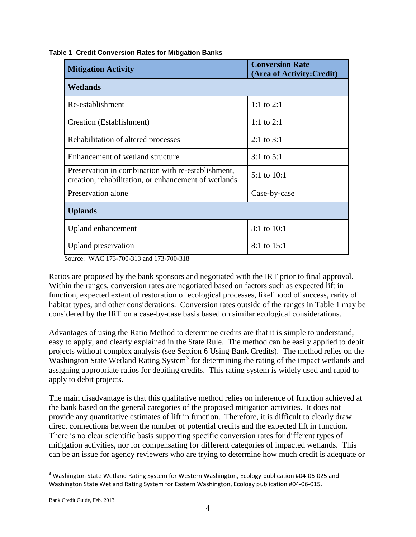|  |  | <b>Table 1 Credit Conversion Rates for Mitigation Banks</b> |  |  |  |
|--|--|-------------------------------------------------------------|--|--|--|
|--|--|-------------------------------------------------------------|--|--|--|

| <b>Mitigation Activity</b>                                                                                 | <b>Conversion Rate</b><br>(Area of Activity: Credit) |
|------------------------------------------------------------------------------------------------------------|------------------------------------------------------|
| <b>Wetlands</b>                                                                                            |                                                      |
| Re-establishment                                                                                           | 1:1 to $2:1$                                         |
| Creation (Establishment)                                                                                   | 1:1 to $2:1$                                         |
| Rehabilitation of altered processes                                                                        | $2:1$ to $3:1$                                       |
| Enhancement of wetland structure                                                                           | $3:1$ to $5:1$                                       |
| Preservation in combination with re-establishment,<br>creation, rehabilitation, or enhancement of wetlands | 5:1 to 10:1                                          |
| Preservation alone                                                                                         | Case-by-case                                         |
| <b>Uplands</b>                                                                                             |                                                      |
| Upland enhancement                                                                                         | $3:1$ to $10:1$                                      |
| Upland preservation                                                                                        | 8:1 to 15:1                                          |

Source: WAC 173-700-313 and 173-700-318

Ratios are proposed by the bank sponsors and negotiated with the IRT prior to final approval. Within the ranges, conversion rates are negotiated based on factors such as expected lift in function, expected extent of restoration of ecological processes, likelihood of success, rarity of habitat types, and other considerations. Conversion rates outside of the ranges in Table 1 may be considered by the IRT on a case-by-case basis based on similar ecological considerations.

Advantages of using the Ratio Method to determine credits are that it is simple to understand, easy to apply, and clearly explained in the State Rule. The method can be easily applied to debit projects without complex analysis (see Section 6 Using Bank Credits). The method relies on the Washington State Wetland Rating System<sup>3</sup> for determining the rating of the impact wetlands and assigning appropriate ratios for debiting credits. This rating system is widely used and rapid to apply to debit projects.

The main disadvantage is that this qualitative method relies on inference of function achieved at the bank based on the general categories of the proposed mitigation activities. It does not provide any quantitative estimates of lift in function. Therefore, it is difficult to clearly draw direct connections between the number of potential credits and the expected lift in function. There is no clear scientific basis supporting specific conversion rates for different types of mitigation activities, nor for compensating for different categories of impacted wetlands. This can be an issue for agency reviewers who are trying to determine how much credit is adequate or

 $\overline{a}$ <sup>3</sup> Washington State Wetland Rating System for Western Washington, Ecology publication #04-06-025 and Washington State Wetland Rating System for Eastern Washington, Ecology publication #04-06-015.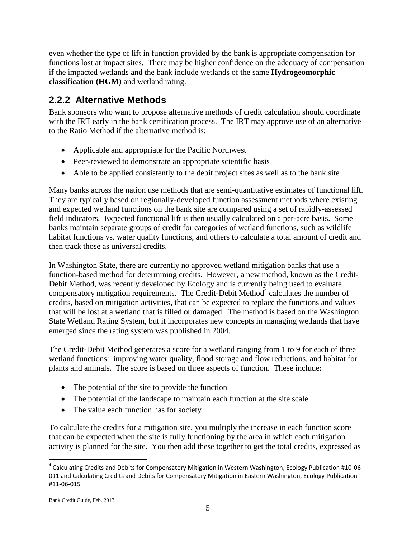even whether the type of lift in function provided by the bank is appropriate compensation for functions lost at impact sites. There may be higher confidence on the adequacy of compensation if the impacted wetlands and the bank include wetlands of the same **Hydrogeomorphic classification (HGM)** and wetland rating.

### <span id="page-8-0"></span>**2.2.2 Alternative Methods**

Bank sponsors who want to propose alternative methods of credit calculation should coordinate with the IRT early in the bank certification process. The IRT may approve use of an alternative to the Ratio Method if the alternative method is:

- Applicable and appropriate for the Pacific Northwest
- Peer-reviewed to demonstrate an appropriate scientific basis
- Able to be applied consistently to the debit project sites as well as to the bank site

Many banks across the nation use methods that are semi-quantitative estimates of functional lift. They are typically based on regionally-developed function assessment methods where existing and expected wetland functions on the bank site are compared using a set of rapidly-assessed field indicators. Expected functional lift is then usually calculated on a per-acre basis. Some banks maintain separate groups of credit for categories of wetland functions, such as wildlife habitat functions vs. water quality functions, and others to calculate a total amount of credit and then track those as universal credits.

In Washington State, there are currently no approved wetland mitigation banks that use a function-based method for determining credits. However, a new method, known as the Credit-Debit Method, was recently developed by Ecology and is currently being used to evaluate compensatory mitigation requirements. The Credit-Debit Method $4$  calculates the number of credits, based on mitigation activities, that can be expected to replace the functions and values that will be lost at a wetland that is filled or damaged. The method is based on the Washington State Wetland Rating System, but it incorporates new concepts in managing wetlands that have emerged since the rating system was published in 2004.

The Credit-Debit Method generates a score for a wetland ranging from 1 to 9 for each of three wetland functions: improving water quality, flood storage and flow reductions, and habitat for plants and animals. The score is based on three aspects of function. These include:

- The potential of the site to provide the function
- The potential of the landscape to maintain each function at the site scale
- The value each function has for society

To calculate the credits for a mitigation site, you multiply the increase in each function score that can be expected when the site is fully functioning by the area in which each mitigation activity is planned for the site. You then add these together to get the total credits, expressed as

<sup>&</sup>lt;sup>4</sup> Calculating Credits and Debits for Compensatory Mitigation in Western Washington, Ecology Publication #10-06-011 and Calculating Credits and Debits for Compensatory Mitigation in Eastern Washington, Ecology Publication #11-06-015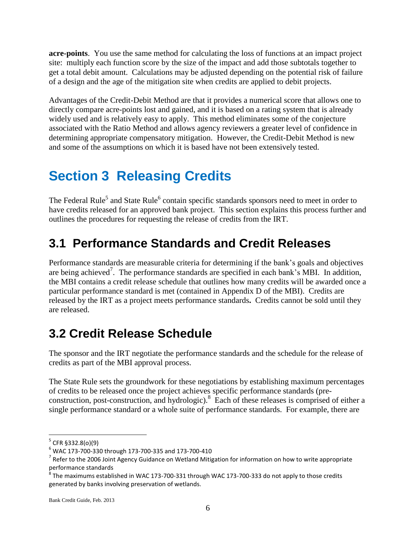**acre-points**. You use the same method for calculating the loss of functions at an impact project site: multiply each function score by the size of the impact and add those subtotals together to get a total debit amount. Calculations may be adjusted depending on the potential risk of failure of a design and the age of the mitigation site when credits are applied to debit projects.

Advantages of the Credit-Debit Method are that it provides a numerical score that allows one to directly compare acre-points lost and gained, and it is based on a rating system that is already widely used and is relatively easy to apply. This method eliminates some of the conjecture associated with the Ratio Method and allows agency reviewers a greater level of confidence in determining appropriate compensatory mitigation. However, the Credit-Debit Method is new and some of the assumptions on which it is based have not been extensively tested.

# <span id="page-9-0"></span>**Section 3 Releasing Credits**

The Federal Rule<sup>5</sup> and State Rule<sup>6</sup> contain specific standards sponsors need to meet in order to have credits released for an approved bank project. This section explains this process further and outlines the procedures for requesting the release of credits from the IRT.

### <span id="page-9-1"></span>**3.1 Performance Standards and Credit Releases**

Performance standards are measurable criteria for determining if the bank's goals and objectives are being achieved<sup>7</sup>. The performance standards are specified in each bank's MBI. In addition, the MBI contains a credit release schedule that outlines how many credits will be awarded once a particular performance standard is met (contained in Appendix D of the MBI). Credits are released by the IRT as a project meets performance standards**.** Credits cannot be sold until they are released.

### <span id="page-9-2"></span>**3.2 Credit Release Schedule**

The sponsor and the IRT negotiate the performance standards and the schedule for the release of credits as part of the MBI approval process.

The State Rule sets the groundwork for these negotiations by establishing maximum percentages of credits to be released once the project achieves specific performance standards (preconstruction, post-construction, and hydrologic). <sup>8</sup> Each of these releases is comprised of either a single performance standard or a whole suite of performance standards. For example, there are

<sup>&</sup>lt;sup>5</sup> CFR §332.8(o)(9)

 $6$  WAC 173-700-330 through 173-700-335 and 173-700-410

 $^7$  Refer to the 2006 Joint Agency Guidance on Wetland Mitigation for information on how to write appropriate performance standards

 $^8$  The maximums established in WAC 173-700-331 through WAC 173-700-333 do not apply to those credits generated by banks involving preservation of wetlands.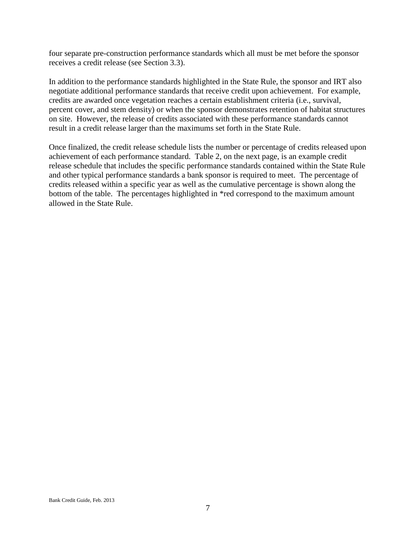four separate pre-construction performance standards which all must be met before the sponsor receives a credit release (see Section 3.3).

In addition to the performance standards highlighted in the State Rule, the sponsor and IRT also negotiate additional performance standards that receive credit upon achievement. For example, credits are awarded once vegetation reaches a certain establishment criteria (i.e., survival, percent cover, and stem density) or when the sponsor demonstrates retention of habitat structures on site. However, the release of credits associated with these performance standards cannot result in a credit release larger than the maximums set forth in the State Rule.

Once finalized, the credit release schedule lists the number or percentage of credits released upon achievement of each performance standard. Table 2, on the next page, is an example credit release schedule that includes the specific performance standards contained within the State Rule and other typical performance standards a bank sponsor is required to meet. The percentage of credits released within a specific year as well as the cumulative percentage is shown along the bottom of the table. The percentages highlighted in \*red correspond to the maximum amount allowed in the State Rule.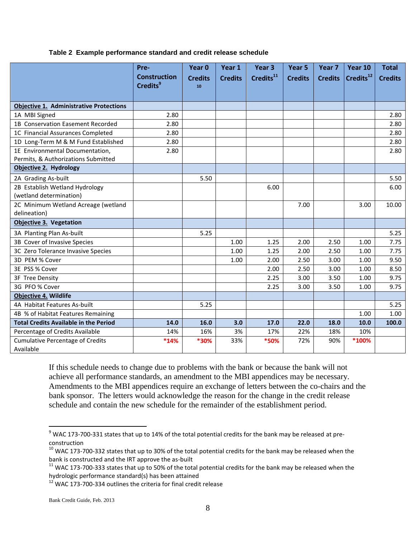#### **Table 2 Example performance standard and credit release schedule**

|                                                | Pre-<br><b>Construction</b> | Year 0<br><b>Credits</b> | Year 1<br><b>Credits</b> | Year <sub>3</sub><br>Credits <sup>11</sup> | Year 5<br><b>Credits</b> | Year 7<br><b>Credits</b> | Year 10<br>Credits <sup>12</sup> | <b>Total</b><br><b>Credits</b> |
|------------------------------------------------|-----------------------------|--------------------------|--------------------------|--------------------------------------------|--------------------------|--------------------------|----------------------------------|--------------------------------|
|                                                | Credits <sup>9</sup>        | 10                       |                          |                                            |                          |                          |                                  |                                |
| <b>Objective 1. Administrative Protections</b> |                             |                          |                          |                                            |                          |                          |                                  |                                |
| 1A MBI Signed                                  | 2.80                        |                          |                          |                                            |                          |                          |                                  | 2.80                           |
| 1B Conservation Easement Recorded              | 2.80                        |                          |                          |                                            |                          |                          |                                  | 2.80                           |
| 1C Financial Assurances Completed              | 2.80                        |                          |                          |                                            |                          |                          |                                  | 2.80                           |
| 1D Long-Term M & M Fund Established            | 2.80                        |                          |                          |                                            |                          |                          |                                  | 2.80                           |
| 1E Environmental Documentation,                | 2.80                        |                          |                          |                                            |                          |                          |                                  | 2.80                           |
| Permits, & Authorizations Submitted            |                             |                          |                          |                                            |                          |                          |                                  |                                |
| Objective 2. Hydrology                         |                             |                          |                          |                                            |                          |                          |                                  |                                |
| 2A Grading As-built                            |                             | 5.50                     |                          |                                            |                          |                          |                                  | 5.50                           |
| 2B Establish Wetland Hydrology                 |                             |                          |                          | 6.00                                       |                          |                          |                                  | 6.00                           |
| (wetland determination)                        |                             |                          |                          |                                            |                          |                          |                                  |                                |
| 2C Minimum Wetland Acreage (wetland            |                             |                          |                          |                                            | 7.00                     |                          | 3.00                             | 10.00                          |
| delineation)                                   |                             |                          |                          |                                            |                          |                          |                                  |                                |
| <b>Objective 3. Vegetation</b>                 |                             |                          |                          |                                            |                          |                          |                                  |                                |
| 3A Planting Plan As-built                      |                             | 5.25                     |                          |                                            |                          |                          |                                  | 5.25                           |
| 3B Cover of Invasive Species                   |                             |                          | 1.00                     | 1.25                                       | 2.00                     | 2.50                     | 1.00                             | 7.75                           |
| 3C Zero Tolerance Invasive Species             |                             |                          | 1.00                     | 1.25                                       | 2.00                     | 2.50                     | 1.00                             | 7.75                           |
| 3D PEM % Cover                                 |                             |                          | 1.00                     | 2.00                                       | 2.50                     | 3.00                     | 1.00                             | 9.50                           |
| 3E PSS % Cover                                 |                             |                          |                          | 2.00                                       | 2.50                     | 3.00                     | 1.00                             | 8.50                           |
| 3F Tree Density                                |                             |                          |                          | 2.25                                       | 3.00                     | 3.50                     | 1.00                             | 9.75                           |
| 3G PFO % Cover                                 |                             |                          |                          | 2.25                                       | 3.00                     | 3.50                     | 1.00                             | 9.75                           |
| <b>Objective 4. Wildlife</b>                   |                             |                          |                          |                                            |                          |                          |                                  |                                |
| 4A Habitat Features As-built                   |                             | 5.25                     |                          |                                            |                          |                          |                                  | 5.25                           |
| 4B % of Habitat Features Remaining             |                             |                          |                          |                                            |                          |                          | 1.00                             | 1.00                           |
| <b>Total Credits Available in the Period</b>   | 14.0                        | 16.0                     | 3.0                      | 17.0                                       | 22.0                     | 18.0                     | 10.0                             | 100.0                          |
| Percentage of Credits Available                | 14%                         | 16%                      | 3%                       | 17%                                        | 22%                      | 18%                      | 10%                              |                                |
| <b>Cumulative Percentage of Credits</b>        | $*14%$                      | *30%                     | 33%                      | *50%                                       | 72%                      | 90%                      | *100%                            |                                |
| Available                                      |                             |                          |                          |                                            |                          |                          |                                  |                                |

If this schedule needs to change due to problems with the bank or because the bank will not achieve all performance standards, an amendment to the MBI appendices may be necessary. Amendments to the MBI appendices require an exchange of letters between the co-chairs and the bank sponsor. The letters would acknowledge the reason for the change in the credit release schedule and contain the new schedule for the remainder of the establishment period.

 $^9$  WAC 173-700-331 states that up to 14% of the total potential credits for the bank may be released at preconstruction

 $10$  WAC 173-700-332 states that up to 30% of the total potential credits for the bank may be released when the bank is constructed and the IRT approve the as-built

<sup>&</sup>lt;sup>11</sup> WAC 173-700-333 states that up to 50% of the total potential credits for the bank may be released when the hydrologic performance standard(s) has been attained

 $12$  WAC 173-700-334 outlines the criteria for final credit release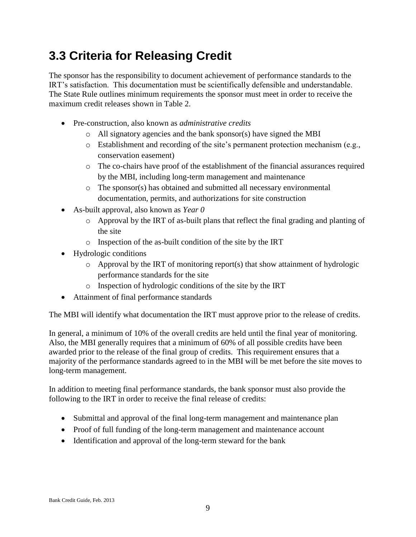### <span id="page-12-0"></span>**3.3 Criteria for Releasing Credit**

The sponsor has the responsibility to document achievement of performance standards to the IRT's satisfaction. This documentation must be scientifically defensible and understandable. The State Rule outlines minimum requirements the sponsor must meet in order to receive the maximum credit releases shown in Table 2.

- Pre-construction, also known as *administrative credits*
	- o All signatory agencies and the bank sponsor(s) have signed the MBI
	- o Establishment and recording of the site's permanent protection mechanism (e.g., conservation easement)
	- o The co-chairs have proof of the establishment of the financial assurances required by the MBI, including long-term management and maintenance
	- o The sponsor(s) has obtained and submitted all necessary environmental documentation, permits, and authorizations for site construction
- As-built approval, also known as *Year 0*
	- o Approval by the IRT of as-built plans that reflect the final grading and planting of the site
	- o Inspection of the as-built condition of the site by the IRT
- Hydrologic conditions
	- o Approval by the IRT of monitoring report(s) that show attainment of hydrologic performance standards for the site
	- o Inspection of hydrologic conditions of the site by the IRT
- Attainment of final performance standards

The MBI will identify what documentation the IRT must approve prior to the release of credits.

In general, a minimum of 10% of the overall credits are held until the final year of monitoring. Also, the MBI generally requires that a minimum of 60% of all possible credits have been awarded prior to the release of the final group of credits. This requirement ensures that a majority of the performance standards agreed to in the MBI will be met before the site moves to long-term management.

In addition to meeting final performance standards, the bank sponsor must also provide the following to the IRT in order to receive the final release of credits:

- Submittal and approval of the final long-term management and maintenance plan
- Proof of full funding of the long-term management and maintenance account
- Identification and approval of the long-term steward for the bank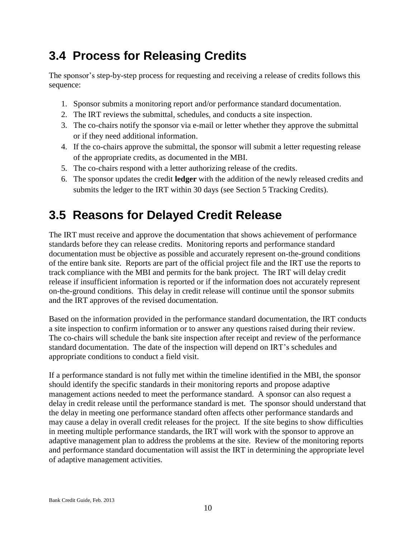### <span id="page-13-0"></span>**3.4 Process for Releasing Credits**

The sponsor's step-by-step process for requesting and receiving a release of credits follows this sequence:

- 1. Sponsor submits a monitoring report and/or performance standard documentation.
- 2. The IRT reviews the submittal, schedules, and conducts a site inspection.
- 3. The co-chairs notify the sponsor via e-mail or letter whether they approve the submittal or if they need additional information.
- 4. If the co-chairs approve the submittal, the sponsor will submit a letter requesting release of the appropriate credits, as documented in the MBI.
- 5. The co-chairs respond with a letter authorizing release of the credits.
- 6. The sponsor updates the credit **ledger** with the addition of the newly released credits and submits the ledger to the IRT within 30 days (see Section 5 Tracking Credits).

### <span id="page-13-1"></span>**3.5 Reasons for Delayed Credit Release**

The IRT must receive and approve the documentation that shows achievement of performance standards before they can release credits. Monitoring reports and performance standard documentation must be objective as possible and accurately represent on-the-ground conditions of the entire bank site. Reports are part of the official project file and the IRT use the reports to track compliance with the MBI and permits for the bank project. The IRT will delay credit release if insufficient information is reported or if the information does not accurately represent on-the-ground conditions. This delay in credit release will continue until the sponsor submits and the IRT approves of the revised documentation.

Based on the information provided in the performance standard documentation, the IRT conducts a site inspection to confirm information or to answer any questions raised during their review. The co-chairs will schedule the bank site inspection after receipt and review of the performance standard documentation. The date of the inspection will depend on IRT's schedules and appropriate conditions to conduct a field visit.

If a performance standard is not fully met within the timeline identified in the MBI, the sponsor should identify the specific standards in their monitoring reports and propose adaptive management actions needed to meet the performance standard. A sponsor can also request a delay in credit release until the performance standard is met. The sponsor should understand that the delay in meeting one performance standard often affects other performance standards and may cause a delay in overall credit releases for the project. If the site begins to show difficulties in meeting multiple performance standards, the IRT will work with the sponsor to approve an adaptive management plan to address the problems at the site. Review of the monitoring reports and performance standard documentation will assist the IRT in determining the appropriate level of adaptive management activities.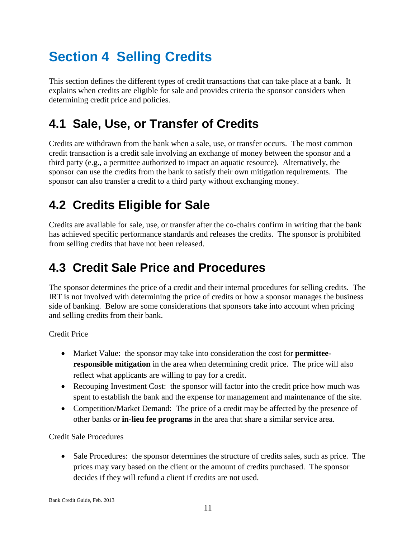# <span id="page-14-0"></span>**Section 4 Selling Credits**

This section defines the different types of credit transactions that can take place at a bank. It explains when credits are eligible for sale and provides criteria the sponsor considers when determining credit price and policies.

### <span id="page-14-1"></span>**4.1 Sale, Use, or Transfer of Credits**

Credits are withdrawn from the bank when a sale, use, or transfer occurs. The most common credit transaction is a credit sale involving an exchange of money between the sponsor and a third party (e.g., a permittee authorized to impact an aquatic resource). Alternatively, the sponsor can use the credits from the bank to satisfy their own mitigation requirements. The sponsor can also transfer a credit to a third party without exchanging money.

### <span id="page-14-2"></span>**4.2 Credits Eligible for Sale**

Credits are available for sale, use, or transfer after the co-chairs confirm in writing that the bank has achieved specific performance standards and releases the credits. The sponsor is prohibited from selling credits that have not been released.

### <span id="page-14-3"></span>**4.3 Credit Sale Price and Procedures**

The sponsor determines the price of a credit and their internal procedures for selling credits. The IRT is not involved with determining the price of credits or how a sponsor manages the business side of banking. Below are some considerations that sponsors take into account when pricing and selling credits from their bank.

Credit Price

- Market Value: the sponsor may take into consideration the cost for **permitteeresponsible mitigation** in the area when determining credit price. The price will also reflect what applicants are willing to pay for a credit.
- Recouping Investment Cost: the sponsor will factor into the credit price how much was spent to establish the bank and the expense for management and maintenance of the site.
- Competition/Market Demand: The price of a credit may be affected by the presence of other banks or **in-lieu fee programs** in the area that share a similar service area.

Credit Sale Procedures

 Sale Procedures: the sponsor determines the structure of credits sales, such as price. The prices may vary based on the client or the amount of credits purchased. The sponsor decides if they will refund a client if credits are not used.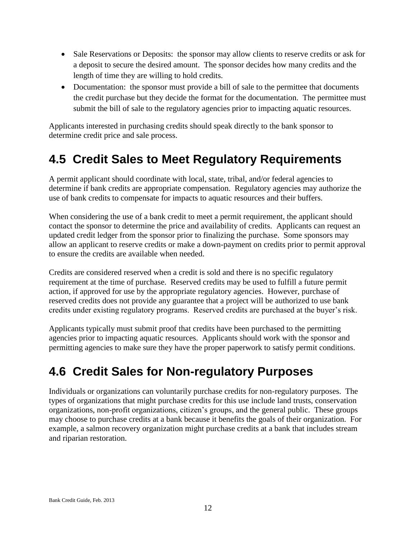- Sale Reservations or Deposits: the sponsor may allow clients to reserve credits or ask for a deposit to secure the desired amount. The sponsor decides how many credits and the length of time they are willing to hold credits.
- Documentation: the sponsor must provide a bill of sale to the permittee that documents the credit purchase but they decide the format for the documentation. The permittee must submit the bill of sale to the regulatory agencies prior to impacting aquatic resources.

Applicants interested in purchasing credits should speak directly to the bank sponsor to determine credit price and sale process.

### <span id="page-15-0"></span>**4.5 Credit Sales to Meet Regulatory Requirements**

A permit applicant should coordinate with local, state, tribal, and/or federal agencies to determine if bank credits are appropriate compensation. Regulatory agencies may authorize the use of bank credits to compensate for impacts to aquatic resources and their buffers.

When considering the use of a bank credit to meet a permit requirement, the applicant should contact the sponsor to determine the price and availability of credits. Applicants can request an updated credit ledger from the sponsor prior to finalizing the purchase. Some sponsors may allow an applicant to reserve credits or make a down-payment on credits prior to permit approval to ensure the credits are available when needed.

Credits are considered reserved when a credit is sold and there is no specific regulatory requirement at the time of purchase. Reserved credits may be used to fulfill a future permit action, if approved for use by the appropriate regulatory agencies. However, purchase of reserved credits does not provide any guarantee that a project will be authorized to use bank credits under existing regulatory programs. Reserved credits are purchased at the buyer's risk.

Applicants typically must submit proof that credits have been purchased to the permitting agencies prior to impacting aquatic resources. Applicants should work with the sponsor and permitting agencies to make sure they have the proper paperwork to satisfy permit conditions.

### <span id="page-15-1"></span>**4.6 Credit Sales for Non-regulatory Purposes**

Individuals or organizations can voluntarily purchase credits for non-regulatory purposes. The types of organizations that might purchase credits for this use include land trusts, conservation organizations, non-profit organizations, citizen's groups, and the general public. These groups may choose to purchase credits at a bank because it benefits the goals of their organization. For example, a salmon recovery organization might purchase credits at a bank that includes stream and riparian restoration.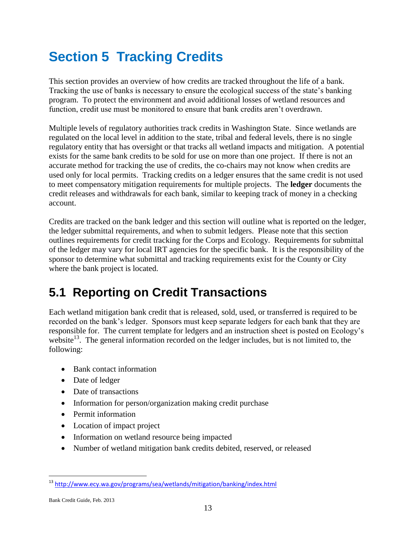# <span id="page-16-0"></span>**Section 5 Tracking Credits**

This section provides an overview of how credits are tracked throughout the life of a bank. Tracking the use of banks is necessary to ensure the ecological success of the state's banking program. To protect the environment and avoid additional losses of wetland resources and function, credit use must be monitored to ensure that bank credits aren't overdrawn.

Multiple levels of regulatory authorities track credits in Washington State. Since wetlands are regulated on the local level in addition to the state, tribal and federal levels, there is no single regulatory entity that has oversight or that tracks all wetland impacts and mitigation. A potential exists for the same bank credits to be sold for use on more than one project. If there is not an accurate method for tracking the use of credits, the co-chairs may not know when credits are used only for local permits. Tracking credits on a ledger ensures that the same credit is not used to meet compensatory mitigation requirements for multiple projects. The **ledger** documents the credit releases and withdrawals for each bank, similar to keeping track of money in a checking account.

Credits are tracked on the bank ledger and this section will outline what is reported on the ledger, the ledger submittal requirements, and when to submit ledgers. Please note that this section outlines requirements for credit tracking for the Corps and Ecology. Requirements for submittal of the ledger may vary for local IRT agencies for the specific bank. It is the responsibility of the sponsor to determine what submittal and tracking requirements exist for the County or City where the bank project is located.

### <span id="page-16-1"></span>**5.1 Reporting on Credit Transactions**

Each wetland mitigation bank credit that is released, sold, used, or transferred is required to be recorded on the bank's ledger. Sponsors must keep separate ledgers for each bank that they are responsible for. The current template for ledgers and an instruction sheet is posted on Ecology's website<sup>13</sup>. The general information recorded on the ledger includes, but is not limited to, the following:

- Bank contact information
- Date of ledger
- Date of transactions
- Information for person/organization making credit purchase
- Permit information
- Location of impact project
- Information on wetland resource being impacted
- Number of wetland mitigation bank credits debited, reserved, or released

Bank Credit Guide, Feb. 2013

<sup>13</sup> <http://www.ecy.wa.gov/programs/sea/wetlands/mitigation/banking/index.html>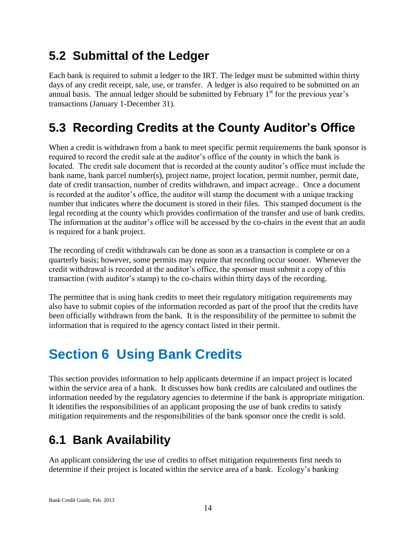### <span id="page-17-0"></span>**5.2 Submittal of the Ledger**

Each bank is required to submit a ledger to the IRT. The ledger must be submitted within thirty days of any credit receipt, sale, use, or transfer. A ledger is also required to be submitted on an annual basis. The annual ledger should be submitted by February  $1<sup>st</sup>$  for the previous year's transactions (January 1-December 31).

### <span id="page-17-1"></span>**5.3 Recording Credits at the County Auditor's Office**

When a credit is withdrawn from a bank to meet specific permit requirements the bank sponsor is required to record the credit sale at the auditor's office of the county in which the bank is located. The credit sale document that is recorded at the county auditor's office must include the bank name, bank parcel number(s), project name, project location, permit number, permit date, date of credit transaction, number of credits withdrawn, and impact acreage.. Once a document is recorded at the auditor's office, the auditor will stamp the document with a unique tracking number that indicates where the document is stored in their files. This stamped document is the legal recording at the county which provides confirmation of the transfer and use of bank credits. The information at the auditor's office will be accessed by the co-chairs in the event that an audit is required for a bank project.

The recording of credit withdrawals can be done as soon as a transaction is complete or on a quarterly basis; however, some permits may require that recording occur sooner. Whenever the credit withdrawal is recorded at the auditor's office, the sponsor must submit a copy of this transaction (with auditor's stamp) to the co-chairs within thirty days of the recording.

The permittee that is using bank credits to meet their regulatory mitigation requirements may also have to submit copies of the information recorded as part of the proof that the credits have been officially withdrawn from the bank. It is the responsibility of the permittee to submit the information that is required to the agency contact listed in their permit.

# <span id="page-17-2"></span>**Section 6 Using Bank Credits**

This section provides information to help applicants determine if an impact project is located within the service area of a bank. It discusses how bank credits are calculated and outlines the information needed by the regulatory agencies to determine if the bank is appropriate mitigation. It identifies the responsibilities of an applicant proposing the use of bank credits to satisfy mitigation requirements and the responsibilities of the bank sponsor once the credit is sold.

### <span id="page-17-3"></span>**6.1 Bank Availability**

An applicant considering the use of credits to offset mitigation requirements first needs to determine if their project is located within the service area of a bank. Ecology's banking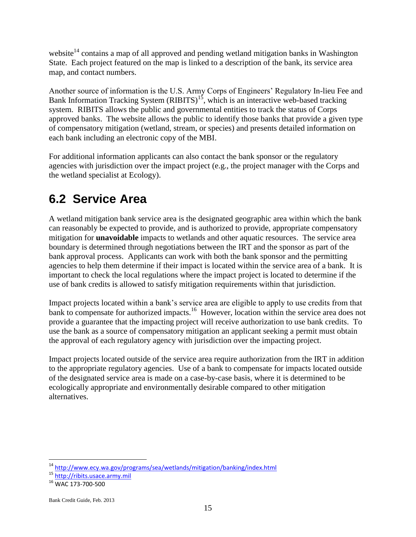website<sup>14</sup> contains a map of all approved and pending wetland mitigation banks in Washington State. Each project featured on the map is linked to a description of the bank, its service area map, and contact numbers.

Another source of information is the U.S. Army Corps of Engineers' Regulatory In-lieu Fee and Bank Information Tracking System  $(RIBITS)^{15}$ , which is an interactive web-based tracking system. RIBITS allows the public and governmental entities to track the status of Corps approved banks. The website allows the public to identify those banks that provide a given type of compensatory mitigation (wetland, stream, or species) and presents detailed information on each bank including an electronic copy of the MBI.

For additional information applicants can also contact the bank sponsor or the regulatory agencies with jurisdiction over the impact project (e.g., the project manager with the Corps and the wetland specialist at Ecology).

### <span id="page-18-0"></span>**6.2 Service Area**

A wetland mitigation bank service area is the designated geographic area within which the bank can reasonably be expected to provide, and is authorized to provide, appropriate compensatory mitigation for **unavoidable** impacts to wetlands and other aquatic resources. The service area boundary is determined through negotiations between the IRT and the sponsor as part of the bank approval process. Applicants can work with both the bank sponsor and the permitting agencies to help them determine if their impact is located within the service area of a bank. It is important to check the local regulations where the impact project is located to determine if the use of bank credits is allowed to satisfy mitigation requirements within that jurisdiction.

Impact projects located within a bank's service area are eligible to apply to use credits from that bank to compensate for authorized impacts.<sup>16</sup> However, location within the service area does not provide a guarantee that the impacting project will receive authorization to use bank credits. To use the bank as a source of compensatory mitigation an applicant seeking a permit must obtain the approval of each regulatory agency with jurisdiction over the impacting project.

Impact projects located outside of the service area require authorization from the IRT in addition to the appropriate regulatory agencies. Use of a bank to compensate for impacts located outside of the designated service area is made on a case-by-case basis, where it is determined to be ecologically appropriate and environmentally desirable compared to other mitigation alternatives.

<sup>14</sup> <http://www.ecy.wa.gov/programs/sea/wetlands/mitigation/banking/index.html>

<sup>15</sup> [http://ribits.usace.army.mil](http://ribits.usace.army.mil/)

<sup>16</sup> WAC 173-700-500

Bank Credit Guide, Feb. 2013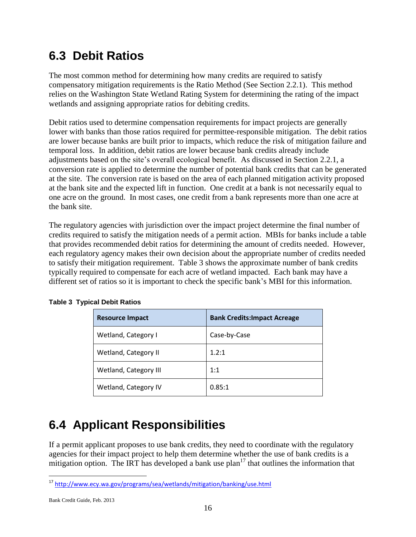### <span id="page-19-0"></span>**6.3 Debit Ratios**

The most common method for determining how many credits are required to satisfy compensatory mitigation requirements is the Ratio Method (See Section 2.2.1). This method relies on the Washington State Wetland Rating System for determining the rating of the impact wetlands and assigning appropriate ratios for debiting credits.

Debit ratios used to determine compensation requirements for impact projects are generally lower with banks than those ratios required for permittee-responsible mitigation.The debit ratios are lower because banks are built prior to impacts, which reduce the risk of mitigation failure and temporal loss. In addition, debit ratios are lower because bank credits already include adjustments based on the site's overall ecological benefit. As discussed in Section 2.2.1, a conversion rate is applied to determine the number of potential bank credits that can be generated at the site. The conversion rate is based on the area of each planned mitigation activity proposed at the bank site and the expected lift in function. One credit at a bank is not necessarily equal to one acre on the ground. In most cases, one credit from a bank represents more than one acre at the bank site.

The regulatory agencies with jurisdiction over the impact project determine the final number of credits required to satisfy the mitigation needs of a permit action. MBIs for banks include a table that provides recommended debit ratios for determining the amount of credits needed. However, each regulatory agency makes their own decision about the appropriate number of credits needed to satisfy their mitigation requirement. Table 3 shows the approximate number of bank credits typically required to compensate for each acre of wetland impacted. Each bank may have a different set of ratios so it is important to check the specific bank's MBI for this information.

| <b>Resource Impact</b> | <b>Bank Credits: Impact Acreage</b> |
|------------------------|-------------------------------------|
| Wetland, Category I    | Case-by-Case                        |
| Wetland, Category II   | 1.2:1                               |
| Wetland, Category III  | 1:1                                 |
| Wetland, Category IV   | 0.85:1                              |

| <b>Table 3 Typical Debit Ratios</b> |  |
|-------------------------------------|--|
|                                     |  |

### <span id="page-19-1"></span>**6.4 Applicant Responsibilities**

If a permit applicant proposes to use bank credits, they need to coordinate with the regulatory agencies for their impact project to help them determine whether the use of bank credits is a mitigation option. The IRT has developed a bank use  $plan<sup>17</sup>$  that outlines the information that

<sup>17</sup> <http://www.ecy.wa.gov/programs/sea/wetlands/mitigation/banking/use.html>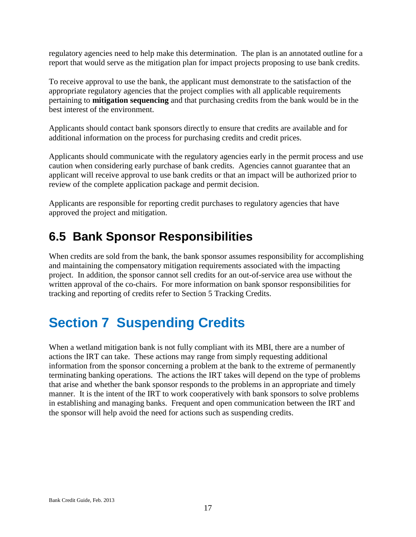regulatory agencies need to help make this determination. The plan is an annotated outline for a report that would serve as the mitigation plan for impact projects proposing to use bank credits.

To receive approval to use the bank, the applicant must demonstrate to the satisfaction of the appropriate regulatory agencies that the project complies with all applicable requirements pertaining to **mitigation sequencing** and that purchasing credits from the bank would be in the best interest of the environment.

Applicants should contact bank sponsors directly to ensure that credits are available and for additional information on the process for purchasing credits and credit prices.

Applicants should communicate with the regulatory agencies early in the permit process and use caution when considering early purchase of bank credits. Agencies cannot guarantee that an applicant will receive approval to use bank credits or that an impact will be authorized prior to review of the complete application package and permit decision.

Applicants are responsible for reporting credit purchases to regulatory agencies that have approved the project and mitigation.

### <span id="page-20-0"></span>**6.5 Bank Sponsor Responsibilities**

When credits are sold from the bank, the bank sponsor assumes responsibility for accomplishing and maintaining the compensatory mitigation requirements associated with the impacting project. In addition, the sponsor cannot sell credits for an out-of-service area use without the written approval of the co-chairs. For more information on bank sponsor responsibilities for tracking and reporting of credits refer to Section 5 Tracking Credits.

# <span id="page-20-1"></span>**Section 7 Suspending Credits**

<span id="page-20-2"></span>When a wetland mitigation bank is not fully compliant with its MBI, there are a number of actions the IRT can take. These actions may range from simply requesting additional information from the sponsor concerning a problem at the bank to the extreme of permanently terminating banking operations. The actions the IRT takes will depend on the type of problems that arise and whether the bank sponsor responds to the problems in an appropriate and timely manner. It is the intent of the IRT to work cooperatively with bank sponsors to solve problems in establishing and managing banks. Frequent and open communication between the IRT and the sponsor will help avoid the need for actions such as suspending credits.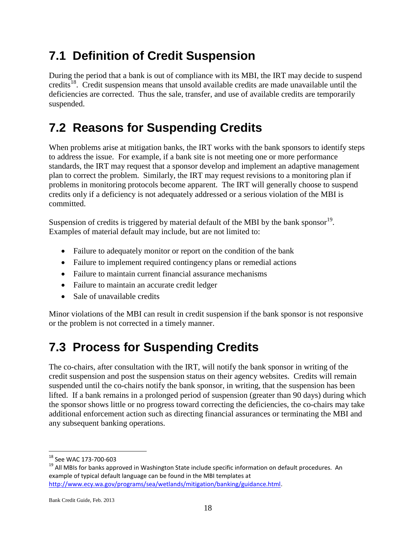### **7.1 Definition of Credit Suspension**

During the period that a bank is out of compliance with its MBI, the IRT may decide to suspend credits<sup>18</sup>. Credit suspension means that unsold available credits are made unavailable until the deficiencies are corrected. Thus the sale, transfer, and use of available credits are temporarily suspended.

### <span id="page-21-0"></span>**7.2 Reasons for Suspending Credits**

When problems arise at mitigation banks, the IRT works with the bank sponsors to identify steps to address the issue. For example, if a bank site is not meeting one or more performance standards, the IRT may request that a sponsor develop and implement an adaptive management plan to correct the problem. Similarly, the IRT may request revisions to a monitoring plan if problems in monitoring protocols become apparent. The IRT will generally choose to suspend credits only if a deficiency is not adequately addressed or a serious violation of the MBI is committed.

Suspension of credits is triggered by material default of the MBI by the bank sponsor $^{19}$ . Examples of material default may include, but are not limited to:

- Failure to adequately monitor or report on the condition of the bank
- Failure to implement required contingency plans or remedial actions
- Failure to maintain current financial assurance mechanisms
- Failure to maintain an accurate credit ledger
- Sale of unavailable credits

Minor violations of the MBI can result in credit suspension if the bank sponsor is not responsive or the problem is not corrected in a timely manner.

## <span id="page-21-1"></span>**7.3 Process for Suspending Credits**

The co-chairs, after consultation with the IRT, will notify the bank sponsor in writing of the credit suspension and post the suspension status on their agency websites. Credits will remain suspended until the co-chairs notify the bank sponsor, in writing, that the suspension has been lifted. If a bank remains in a prolonged period of suspension (greater than 90 days) during which the sponsor shows little or no progress toward correcting the deficiencies, the co-chairs may take additional enforcement action such as directing financial assurances or terminating the MBI and any subsequent banking operations.

 $\overline{a}$ <sup>18</sup> See WAC 173-700-603

<sup>&</sup>lt;sup>19</sup> All MBIs for banks approved in Washington State include specific information on default procedures. An example of typical default language can be found in the MBI templates at [http://www.ecy.wa.gov/programs/sea/wetlands/mitigation/banking/guidance.html.](http://www.ecy.wa.gov/programs/sea/wetlands/mitigation/banking/guidance.html)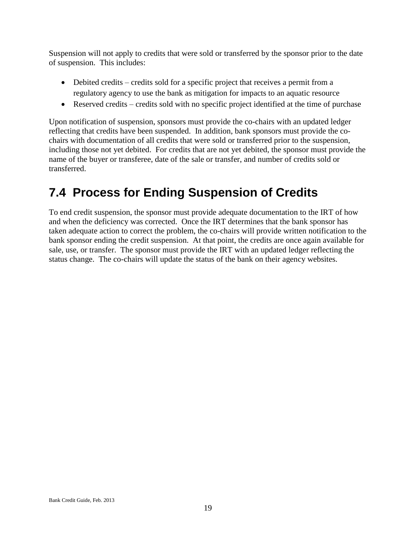Suspension will not apply to credits that were sold or transferred by the sponsor prior to the date of suspension. This includes:

- Debited credits credits sold for a specific project that receives a permit from a regulatory agency to use the bank as mitigation for impacts to an aquatic resource
- Reserved credits credits sold with no specific project identified at the time of purchase

Upon notification of suspension, sponsors must provide the co-chairs with an updated ledger reflecting that credits have been suspended. In addition, bank sponsors must provide the cochairs with documentation of all credits that were sold or transferred prior to the suspension, including those not yet debited. For credits that are not yet debited, the sponsor must provide the name of the buyer or transferee, date of the sale or transfer, and number of credits sold or transferred.

### <span id="page-22-0"></span>**7.4 Process for Ending Suspension of Credits**

<span id="page-22-1"></span>To end credit suspension, the sponsor must provide adequate documentation to the IRT of how and when the deficiency was corrected. Once the IRT determines that the bank sponsor has taken adequate action to correct the problem, the co-chairs will provide written notification to the bank sponsor ending the credit suspension. At that point, the credits are once again available for sale, use, or transfer. The sponsor must provide the IRT with an updated ledger reflecting the status change. The co-chairs will update the status of the bank on their agency websites.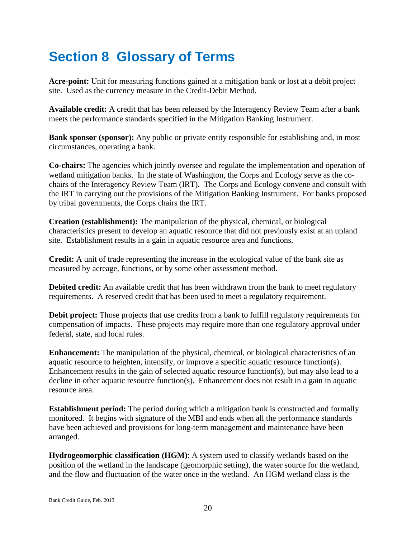# **Section 8 Glossary of Terms**

**Acre-point:** Unit for measuring functions gained at a mitigation bank or lost at a debit project site. Used as the currency measure in the Credit-Debit Method.

**Available credit:** A credit that has been released by the Interagency Review Team after a bank meets the performance standards specified in the Mitigation Banking Instrument.

**Bank sponsor (sponsor):** Any public or private entity responsible for establishing and, in most circumstances, operating a bank.

**Co-chairs:** The agencies which jointly oversee and regulate the implementation and operation of wetland mitigation banks. In the state of Washington, the Corps and Ecology serve as the cochairs of the Interagency Review Team (IRT). The Corps and Ecology convene and consult with the IRT in carrying out the provisions of the Mitigation Banking Instrument. For banks proposed by tribal governments, the Corps chairs the IRT.

**Creation (establishment):** The manipulation of the physical, chemical, or biological characteristics present to develop an aquatic resource that did not previously exist at an upland site. Establishment results in a gain in aquatic resource area and functions.

**Credit:** A unit of trade representing the increase in the ecological value of the bank site as measured by acreage, functions, or by some other assessment method.

**Debited credit:** An available credit that has been withdrawn from the bank to meet regulatory requirements. A reserved credit that has been used to meet a regulatory requirement.

**Debit project:** Those projects that use credits from a bank to fulfill regulatory requirements for compensation of impacts. These projects may require more than one regulatory approval under federal, state, and local rules.

**Enhancement:** The manipulation of the physical, chemical, or biological characteristics of an aquatic resource to heighten, intensify, or improve a specific aquatic resource function(s). Enhancement results in the gain of selected aquatic resource function(s), but may also lead to a decline in other aquatic resource function(s). Enhancement does not result in a gain in aquatic resource area.

**Establishment period:** The period during which a mitigation bank is constructed and formally monitored. It begins with signature of the MBI and ends when all the performance standards have been achieved and provisions for long-term management and maintenance have been arranged.

**Hydrogeomorphic classification (HGM)**: A system used to classify wetlands based on the position of the wetland in the landscape (geomorphic setting), the water source for the wetland, and the flow and fluctuation of the water once in the wetland. An HGM wetland class is the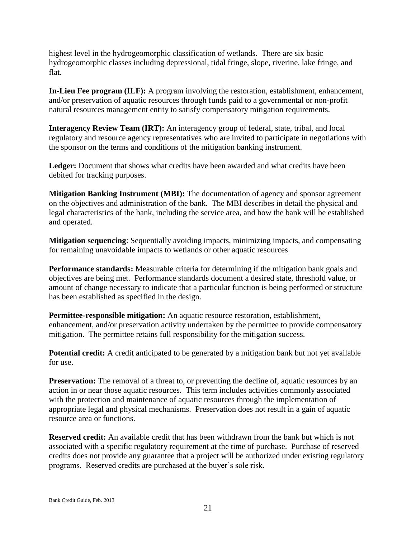highest level in the hydrogeomorphic classification of wetlands. There are six basic hydrogeomorphic classes including depressional, tidal fringe, slope, riverine, lake fringe, and flat.

**In-Lieu Fee program (ILF):** A program involving the restoration, establishment, enhancement, and/or preservation of aquatic resources through funds paid to a governmental or non-profit natural resources management entity to satisfy compensatory mitigation requirements.

**Interagency Review Team (IRT):** An interagency group of federal, state, tribal, and local regulatory and resource agency representatives who are invited to participate in negotiations with the sponsor on the terms and conditions of the mitigation banking instrument.

**Ledger:** Document that shows what credits have been awarded and what credits have been debited for tracking purposes.

**Mitigation Banking Instrument (MBI):** The documentation of agency and sponsor agreement on the objectives and administration of the bank. The MBI describes in detail the physical and legal characteristics of the bank, including the service area, and how the bank will be established and operated.

**Mitigation sequencing**: Sequentially avoiding impacts, minimizing impacts, and compensating for remaining unavoidable impacts to wetlands or other aquatic resources

**Performance standards:** Measurable criteria for determining if the mitigation bank goals and objectives are being met. Performance standards document a desired state, threshold value, or amount of change necessary to indicate that a particular function is being performed or structure has been established as specified in the design.

**Permittee-responsible mitigation:** An aquatic resource restoration, establishment, enhancement, and/or preservation activity undertaken by the permittee to provide compensatory mitigation. The permittee retains full responsibility for the mitigation success.

**Potential credit:** A credit anticipated to be generated by a mitigation bank but not yet available for use.

**Preservation:** The removal of a threat to, or preventing the decline of, aquatic resources by an action in or near those aquatic resources. This term includes activities commonly associated with the protection and maintenance of aquatic resources through the implementation of appropriate legal and physical mechanisms. Preservation does not result in a gain of aquatic resource area or functions.

**Reserved credit:** An available credit that has been withdrawn from the bank but which is not associated with a specific regulatory requirement at the time of purchase. Purchase of reserved credits does not provide any guarantee that a project will be authorized under existing regulatory programs. Reserved credits are purchased at the buyer's sole risk.